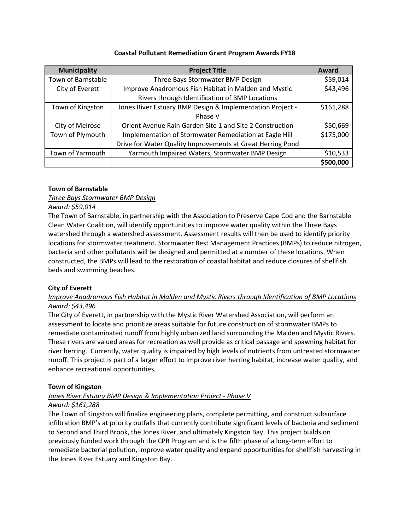### **Coastal Pollutant Remediation Grant Program Awards FY18**

| <b>Municipality</b> | <b>Project Title</b>                                       | Award     |
|---------------------|------------------------------------------------------------|-----------|
| Town of Barnstable  | Three Bays Stormwater BMP Design                           | \$59,014  |
| City of Everett     | Improve Anadromous Fish Habitat in Malden and Mystic       | \$43,496  |
|                     | Rivers through Identification of BMP Locations             |           |
| Town of Kingston    | Jones River Estuary BMP Design & Implementation Project -  | \$161,288 |
|                     | Phase V                                                    |           |
| City of Melrose     | Orient Avenue Rain Garden Site 1 and Site 2 Construction   | \$50,669  |
| Town of Plymouth    | Implementation of Stormwater Remediation at Eagle Hill     | \$175,000 |
|                     | Drive for Water Quality Improvements at Great Herring Pond |           |
| Town of Yarmouth    | Yarmouth Impaired Waters, Stormwater BMP Design            | \$10,533  |
|                     |                                                            | \$500,000 |

### **Town of Barnstable**

# *Three Bays Stormwater BMP Design*

### *Award: \$59,014*

The Town of Barnstable, in partnership with the Association to Preserve Cape Cod and the Barnstable Clean Water Coalition, will identify opportunities to improve water quality within the Three Bays watershed through a watershed assessment. Assessment results will then be used to identify priority locations for stormwater treatment. Stormwater Best Management Practices (BMPs) to reduce nitrogen, bacteria and other pollutants will be designed and permitted at a number of these locations. When constructed, the BMPs will lead to the restoration of coastal habitat and reduce closures of shellfish beds and swimming beaches.

# **City of Everett**

# *Improve Anadromous Fish Habitat in Malden and Mystic Rivers through Identification of BMP Locations Award: \$43,496*

The City of Everett, in partnership with the Mystic River Watershed Association, will perform an assessment to locate and prioritize areas suitable for future construction of stormwater BMPs to remediate contaminated runoff from highly urbanized land surrounding the Malden and Mystic Rivers. These rivers are valued areas for recreation as well provide as critical passage and spawning habitat for river herring. Currently, water quality is impaired by high levels of nutrients from untreated stormwater runoff. This project is part of a larger effort to improve river herring habitat, increase water quality, and enhance recreational opportunities.

### **Town of Kingston**

# *Jones River Estuary BMP Design & Implementation Project - Phase V*

# *Award: \$161,288*

The Town of Kingston will finalize engineering plans, complete permitting, and construct subsurface infiltration BMP's at priority outfalls that currently contribute significant levels of bacteria and sediment to Second and Third Brook, the Jones River, and ultimately Kingston Bay. This project builds on previously funded work through the CPR Program and is the fifth phase of a long-term effort to remediate bacterial pollution, improve water quality and expand opportunities for shellfish harvesting in the Jones River Estuary and Kingston Bay.